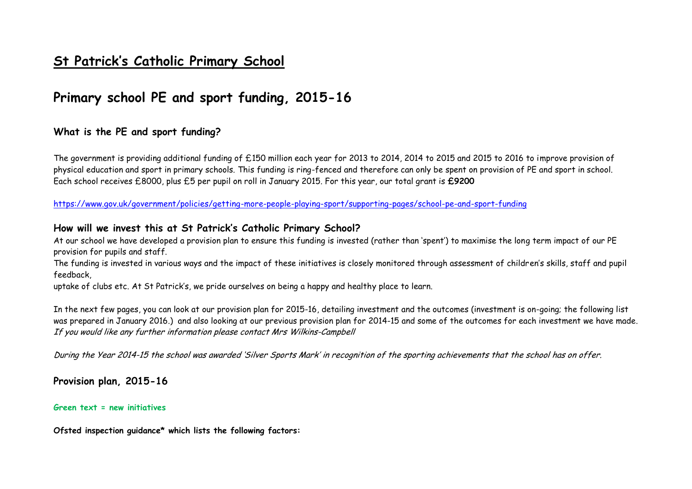# **St Patrick's Catholic Primary School**

# **Primary school PE and sport funding, 2015-16**

### **What is the PE and sport funding?**

The government is providing additional funding of £150 million each year for 2013 to 2014, 2014 to 2015 and 2015 to 2016 to improve provision of physical education and sport in primary schools. This funding is ring-fenced and therefore can only be spent on provision of PE and sport in school. Each school receives £8000, plus £5 per pupil on roll in January 2015. For this year, our total grant is **£9200**

<https://www.gov.uk/government/policies/getting-more-people-playing-sport/supporting-pages/school-pe-and-sport-funding>

#### **How will we invest this at St Patrick's Catholic Primary School?**

At our school we have developed a provision plan to ensure this funding is invested (rather than 'spent') to maximise the long term impact of our PE provision for pupils and staff.

The funding is invested in various ways and the impact of these initiatives is closely monitored through assessment of children's skills, staff and pupil feedback,

uptake of clubs etc. At St Patrick's, we pride ourselves on being a happy and healthy place to learn.

In the next few pages, you can look at our provision plan for 2015-16, detailing investment and the outcomes (investment is on-going; the following list was prepared in January 2016.) and also looking at our previous provision plan for 2014-15 and some of the outcomes for each investment we have made. If you would like any further information please contact Mrs Wilkins-Campbell

During the Year 2014-15 the school was awarded 'Silver Sports Mark' in recognition of the sporting achievements that the school has on offer.

**Provision plan, 2015-16**

#### **Green text = new initiatives**

**Ofsted inspection guidance\* which lists the following factors:**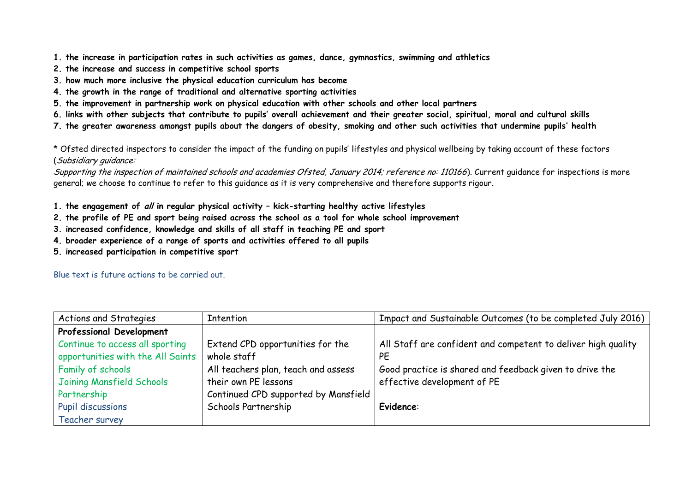- **1. the increase in participation rates in such activities as games, dance, gymnastics, swimming and athletics**
- **2. the increase and success in competitive school sports**
- **3. how much more inclusive the physical education curriculum has become**
- **4. the growth in the range of traditional and alternative sporting activities**
- **5. the improvement in partnership work on physical education with other schools and other local partners**
- **6. links with other subjects that contribute to pupils' overall achievement and their greater social, spiritual, moral and cultural skills**
- **7. the greater awareness amongst pupils about the dangers of obesity, smoking and other such activities that undermine pupils' health**

\* Ofsted directed inspectors to consider the impact of the funding on pupils' lifestyles and physical wellbeing by taking account of these factors (Subsidiary guidance:

Supporting the inspection of maintained schools and academies Ofsted, January 2014; reference no: 110166). Current quidance for inspections is more general; we choose to continue to refer to this guidance as it is very comprehensive and therefore supports rigour.

- **1. the engagement of all in regular physical activity – kick-starting healthy active lifestyles**
- **2. the profile of PE and sport being raised across the school as a tool for whole school improvement**
- **3. increased confidence, knowledge and skills of all staff in teaching PE and sport**
- **4. broader experience of a range of sports and activities offered to all pupils**
- **5. increased participation in competitive sport**

Blue text is future actions to be carried out.

| Actions and Strategies            | Intention                            | Impact and Sustainable Outcomes (to be completed July 2016)   |
|-----------------------------------|--------------------------------------|---------------------------------------------------------------|
| <b>Professional Development</b>   |                                      |                                                               |
| Continue to access all sporting   | Extend CPD opportunities for the     | All Staff are confident and competent to deliver high quality |
| opportunities with the All Saints | whole staff                          | PE                                                            |
| Family of schools                 | All teachers plan, teach and assess  | Good practice is shared and feedback given to drive the       |
| Joining Mansfield Schools         | their own PE lessons                 | effective development of PE                                   |
| Partnership                       | Continued CPD supported by Mansfield |                                                               |
| <b>Pupil discussions</b>          | Schools Partnership                  | <b>Evidence:</b>                                              |
| Teacher survey                    |                                      |                                                               |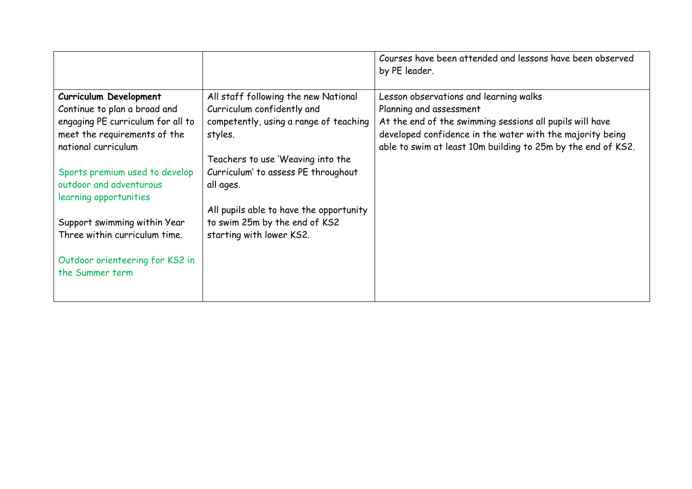|                                   |                                         | Courses have been attended and lessons have been observed<br>by PE leader. |
|-----------------------------------|-----------------------------------------|----------------------------------------------------------------------------|
| Curriculum Development            | All staff following the new National    | Lesson observations and learning walks                                     |
| Continue to plan a broad and      | Curriculum confidently and              | Planning and assessment                                                    |
| engaging PE curriculum for all to | competently, using a range of teaching  | At the end of the swimming sessions all pupils will have                   |
| meet the requirements of the      | styles.                                 | developed confidence in the water with the majority being                  |
| national curriculum               |                                         | able to swim at least 10m building to 25m by the end of KS2.               |
|                                   | Teachers to use 'Weaving into the       |                                                                            |
| Sports premium used to develop    | Curriculum' to assess PE throughout     |                                                                            |
| outdoor and adventurous           | all ages.                               |                                                                            |
| learning opportunities            |                                         |                                                                            |
|                                   | All pupils able to have the opportunity |                                                                            |
| Support swimming within Year      | to swim 25m by the end of KS2           |                                                                            |
| Three within curriculum time.     | starting with lower KS2.                |                                                                            |
|                                   |                                         |                                                                            |
| Outdoor orienteering for KS2 in   |                                         |                                                                            |
| the Summer term                   |                                         |                                                                            |
|                                   |                                         |                                                                            |
|                                   |                                         |                                                                            |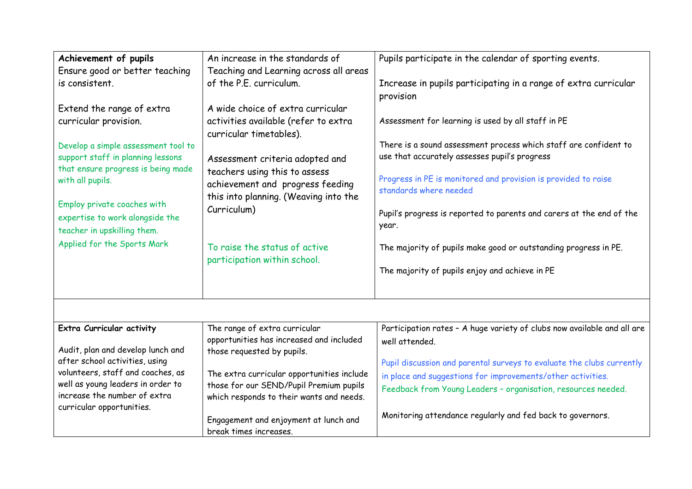| Achievement of pupils               | An increase in the standards of            | Pupils participate in the calendar of sporting events.                  |
|-------------------------------------|--------------------------------------------|-------------------------------------------------------------------------|
| Ensure good or better teaching      | Teaching and Learning across all areas     |                                                                         |
| is consistent.                      | of the P.E. curriculum.                    | Increase in pupils participating in a range of extra curricular         |
|                                     |                                            | provision                                                               |
| Extend the range of extra           | A wide choice of extra curricular          |                                                                         |
| curricular provision.               | activities available (refer to extra       | Assessment for learning is used by all staff in PE                      |
|                                     | curricular timetables).                    |                                                                         |
| Develop a simple assessment tool to |                                            | There is a sound assessment process which staff are confident to        |
| support staff in planning lessons   | Assessment criteria adopted and            | use that accurately assesses pupil's progress                           |
| that ensure progress is being made  | teachers using this to assess              |                                                                         |
| with all pupils.                    | achievement and progress feeding           | Progress in PE is monitored and provision is provided to raise          |
|                                     | this into planning. (Weaving into the      | standards where needed                                                  |
| Employ private coaches with         | Curriculum)                                |                                                                         |
| expertise to work alongside the     |                                            | Pupil's progress is reported to parents and carers at the end of the    |
| teacher in upskilling them.         |                                            | year.                                                                   |
| Applied for the Sports Mark         | To raise the status of active              | The majority of pupils make good or outstanding progress in PE.         |
|                                     | participation within school.               |                                                                         |
|                                     |                                            | The majority of pupils enjoy and achieve in PE                          |
|                                     |                                            |                                                                         |
|                                     |                                            |                                                                         |
|                                     |                                            |                                                                         |
| Extra Curricular activity           | The range of extra curricular              | Participation rates - A huge variety of clubs now available and all are |
|                                     | opportunities has increased and included   |                                                                         |
| Audit, plan and develop lunch and   | those requested by pupils.                 | well attended.                                                          |
| after school activities, using      |                                            | Pupil discussion and parental surveys to evaluate the clubs currently   |
| volunteers, staff and coaches, as   | The extra curricular opportunities include |                                                                         |
| well as young leaders in order to   | those for our SEND/Pupil Premium pupils    | in place and suggestions for improvements/other activities.             |
| increase the number of extra        | which responds to their wants and needs.   | Feedback from Young Leaders - organisation, resources needed.           |
| curricular opportunities.           |                                            |                                                                         |
|                                     | Engagement and enjoyment at lunch and      | Monitoring attendance regularly and fed back to governors.              |
|                                     | break times increases.                     |                                                                         |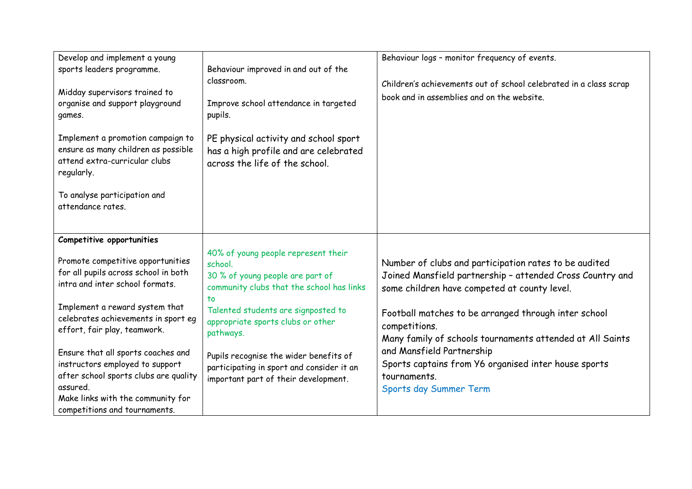| Develop and implement a young<br>sports leaders programme.<br>Midday supervisors trained to<br>organise and support playground<br>games.<br>Implement a promotion campaign to<br>ensure as many children as possible<br>attend extra-curricular clubs<br>regularly.<br>To analyse participation and<br>attendance rates.                                                                                                                               | Behaviour improved in and out of the<br>classroom.<br>Improve school attendance in targeted<br>pupils.<br>PE physical activity and school sport<br>has a high profile and are celebrated<br>across the life of the school.                                                                                                                                    | Behaviour logs - monitor frequency of events.<br>Children's achievements out of school celebrated in a class scrap<br>book and in assemblies and on the website.                                                                                                                                                                                                                                                                        |
|--------------------------------------------------------------------------------------------------------------------------------------------------------------------------------------------------------------------------------------------------------------------------------------------------------------------------------------------------------------------------------------------------------------------------------------------------------|---------------------------------------------------------------------------------------------------------------------------------------------------------------------------------------------------------------------------------------------------------------------------------------------------------------------------------------------------------------|-----------------------------------------------------------------------------------------------------------------------------------------------------------------------------------------------------------------------------------------------------------------------------------------------------------------------------------------------------------------------------------------------------------------------------------------|
| Competitive opportunities<br>Promote competitive opportunities<br>for all pupils across school in both<br>intra and inter school formats.<br>Implement a reward system that<br>celebrates achievements in sport eg<br>effort, fair play, teamwork.<br>Ensure that all sports coaches and<br>instructors employed to support<br>after school sports clubs are quality<br>assured.<br>Make links with the community for<br>competitions and tournaments. | 40% of young people represent their<br>school.<br>30 % of young people are part of<br>community clubs that the school has links<br>to<br>Talented students are signposted to<br>appropriate sports clubs or other<br>pathways.<br>Pupils recognise the wider benefits of<br>participating in sport and consider it an<br>important part of their development. | Number of clubs and participation rates to be audited<br>Joined Mansfield partnership - attended Cross Country and<br>some children have competed at county level.<br>Football matches to be arranged through inter school<br>competitions.<br>Many family of schools tournaments attended at All Saints<br>and Mansfield Partnership<br>Sports captains from Y6 organised inter house sports<br>tournaments.<br>Sports day Summer Term |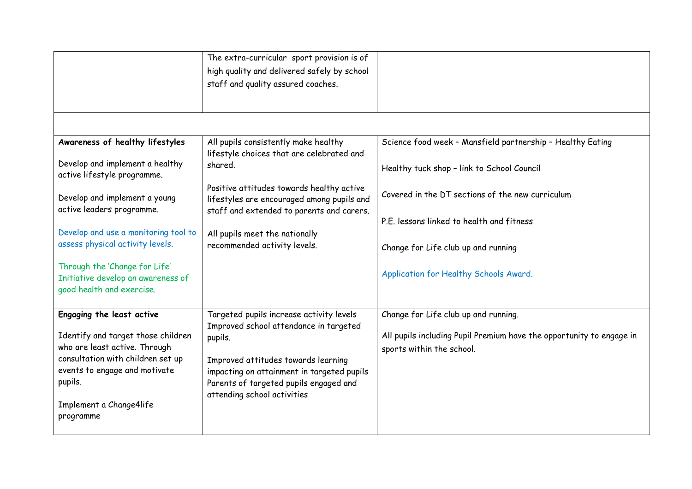|                                                                                                                                                                                              | The extra-curricular sport provision is of<br>high quality and delivered safely by school<br>staff and quality assured coaches.                                                                                 |                                                                                                   |
|----------------------------------------------------------------------------------------------------------------------------------------------------------------------------------------------|-----------------------------------------------------------------------------------------------------------------------------------------------------------------------------------------------------------------|---------------------------------------------------------------------------------------------------|
|                                                                                                                                                                                              |                                                                                                                                                                                                                 |                                                                                                   |
| Awareness of healthy lifestyles                                                                                                                                                              | All pupils consistently make healthy<br>lifestyle choices that are celebrated and                                                                                                                               | Science food week - Mansfield partnership - Healthy Eating                                        |
| Develop and implement a healthy<br>active lifestyle programme.                                                                                                                               | shared.                                                                                                                                                                                                         | Healthy tuck shop - link to School Council                                                        |
| Develop and implement a young<br>active leaders programme.                                                                                                                                   | Positive attitudes towards healthy active<br>lifestyles are encouraged among pupils and<br>staff and extended to parents and carers.                                                                            | Covered in the DT sections of the new curriculum                                                  |
|                                                                                                                                                                                              |                                                                                                                                                                                                                 | P.E. lessons linked to health and fitness                                                         |
| Develop and use a monitoring tool to                                                                                                                                                         | All pupils meet the nationally                                                                                                                                                                                  |                                                                                                   |
| assess physical activity levels.                                                                                                                                                             | recommended activity levels.                                                                                                                                                                                    | Change for Life club up and running                                                               |
| Through the 'Change for Life'<br>Initiative develop an awareness of<br>good health and exercise.                                                                                             |                                                                                                                                                                                                                 | Application for Healthy Schools Award.                                                            |
| Engaging the least active                                                                                                                                                                    | Targeted pupils increase activity levels                                                                                                                                                                        | Change for Life club up and running.                                                              |
| Identify and target those children<br>who are least active. Through<br>consultation with children set up<br>events to engage and motivate<br>pupils.<br>Implement a Change4life<br>programme | Improved school attendance in targeted<br>pupils.<br>Improved attitudes towards learning<br>impacting on attainment in targeted pupils<br>Parents of targeted pupils engaged and<br>attending school activities | All pupils including Pupil Premium have the opportunity to engage in<br>sports within the school. |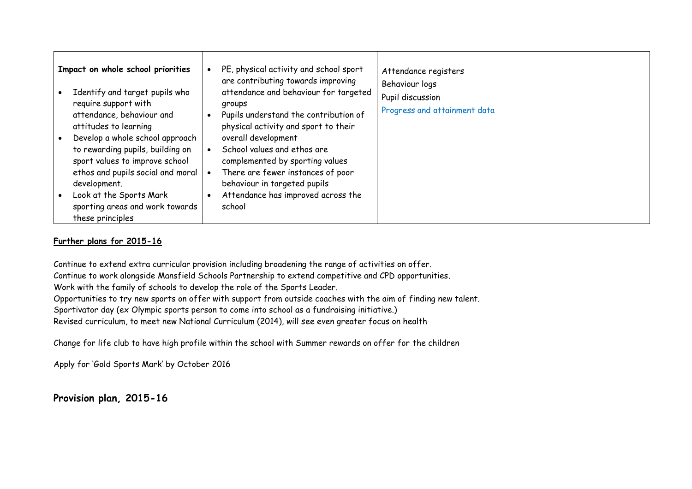| Impact on whole school priorities<br>Identify and target pupils who<br>require support with<br>attendance, behaviour and                                                                                                                                              | PE, physical activity and school sport<br>Attendance registers<br>are contributing towards improving<br>Behaviour logs<br>attendance and behaviour for targeted<br>Pupil discussion<br>groups<br>Progress and attainment data<br>Pupils understand the contribution of |
|-----------------------------------------------------------------------------------------------------------------------------------------------------------------------------------------------------------------------------------------------------------------------|------------------------------------------------------------------------------------------------------------------------------------------------------------------------------------------------------------------------------------------------------------------------|
| attitudes to learning<br>Develop a whole school approach<br>to rewarding pupils, building on<br>sport values to improve school<br>ethos and pupils social and moral<br>development.<br>Look at the Sports Mark<br>sporting areas and work towards<br>these principles | physical activity and sport to their<br>overall development<br>School values and ethos are<br>complemented by sporting values<br>There are fewer instances of poor<br>behaviour in targeted pupils<br>Attendance has improved across the<br>school                     |

### **Further plans for 2015-16**

Continue to extend extra curricular provision including broadening the range of activities on offer. Continue to work alongside Mansfield Schools Partnership to extend competitive and CPD opportunities. Work with the family of schools to develop the role of the Sports Leader. Opportunities to try new sports on offer with support from outside coaches with the aim of finding new talent. Sportivator day (ex Olympic sports person to come into school as a fundraising initiative.) Revised curriculum, to meet new National Curriculum (2014), will see even greater focus on health

Change for life club to have high profile within the school with Summer rewards on offer for the children

Apply for 'Gold Sports Mark' by October 2016

**Provision plan, 2015-16**